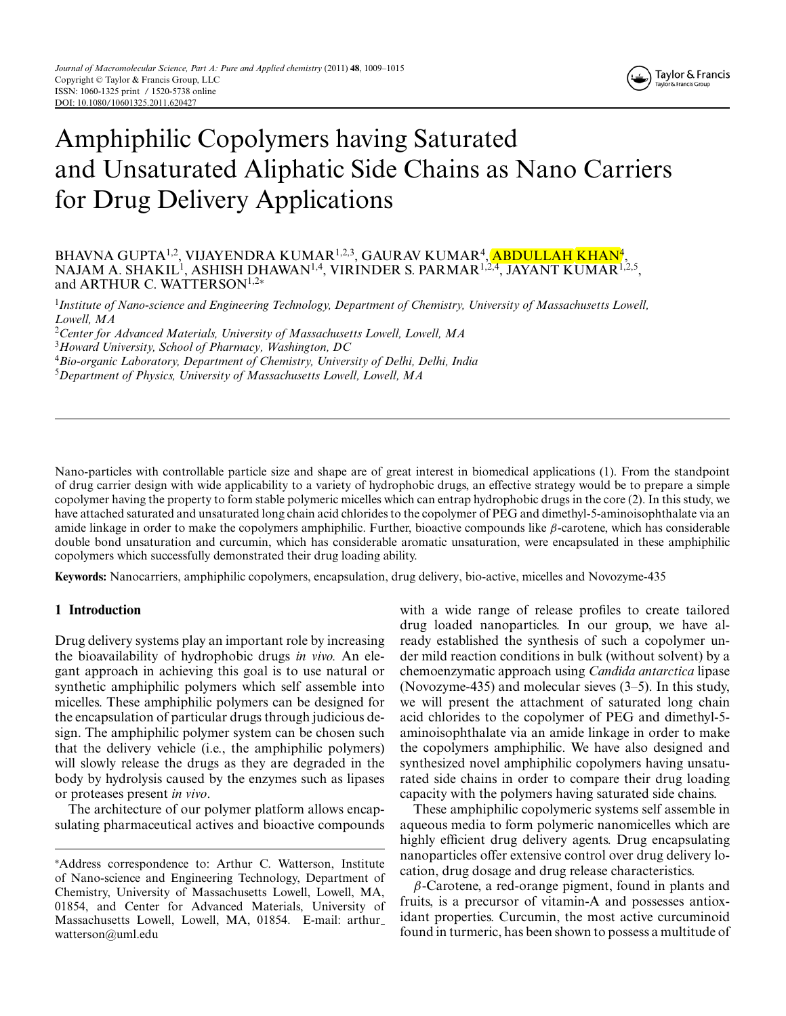# Amphiphilic Copolymers having Saturated and Unsaturated Aliphatic Side Chains as Nano Carriers for Drug Delivery Applications

### BHAVNA GUPTA<sup>1,2</sup>, VIJAYENDRA KUMAR<sup>1,2,3</sup>, GAURAV KUMAR<sup>4</sup>, <mark>ABDULLAH KHAN</mark><sup>4</sup>, NAJAM A. SHAKIL<sup>1</sup>, ASHISH DHAWAN<sup>1,4</sup>, VIRINDER S. PARMAR<sup>1,2,4</sup>, JAYANT KUMAR<sup>1,2,5</sup>, and ARTHUR C. WATTERSON<sup>1,2∗</sup>

1 *Institute of Nano-science and Engineering Technology, Department of Chemistry, University of Massachusetts Lowell, Lowell, MA*

2 *Center for Advanced Materials, University of Massachusetts Lowell, Lowell, MA*

3 *Howard University, School of Pharmacy, Washington, DC*

4 *Bio-organic Laboratory, Department of Chemistry, University of Delhi, Delhi, India*

5 *Department of Physics, University of Massachusetts Lowell, Lowell, MA*

Nano-particles with controllable particle size and shape are of great interest in biomedical applications (1). From the standpoint of drug carrier design with wide applicability to a variety of hydrophobic drugs, an effective strategy would be to prepare a simple copolymer having the property to form stable polymeric micelles which can entrap hydrophobic drugs in the core (2). In this study, we have attached saturated and unsaturated long chain acid chlorides to the copolymer of PEG and dimethyl-5-aminoisophthalate via an amide linkage in order to make the copolymers amphiphilic. Further, bioactive compounds like  $\beta$ -carotene, which has considerable double bond unsaturation and curcumin, which has considerable aromatic unsaturation, were encapsulated in these amphiphilic copolymers which successfully demonstrated their drug loading ability.

**Keywords:** Nanocarriers, amphiphilic copolymers, encapsulation, drug delivery, bio-active, micelles and Novozyme-435

#### **1 Introduction**

Drug delivery systems play an important role by increasing the bioavailability of hydrophobic drugs *in vivo.* An elegant approach in achieving this goal is to use natural or synthetic amphiphilic polymers which self assemble into micelles. These amphiphilic polymers can be designed for the encapsulation of particular drugs through judicious design. The amphiphilic polymer system can be chosen such that the delivery vehicle (i.e., the amphiphilic polymers) will slowly release the drugs as they are degraded in the body by hydrolysis caused by the enzymes such as lipases or proteases present *in vivo*.

The architecture of our polymer platform allows encapsulating pharmaceutical actives and bioactive compounds with a wide range of release profiles to create tailored drug loaded nanoparticles. In our group, we have already established the synthesis of such a copolymer under mild reaction conditions in bulk (without solvent) by a chemoenzymatic approach using *Candida antarctica* lipase (Novozyme-435) and molecular sieves (3–5). In this study, we will present the attachment of saturated long chain acid chlorides to the copolymer of PEG and dimethyl-5 aminoisophthalate via an amide linkage in order to make the copolymers amphiphilic. We have also designed and synthesized novel amphiphilic copolymers having unsaturated side chains in order to compare their drug loading capacity with the polymers having saturated side chains.

These amphiphilic copolymeric systems self assemble in aqueous media to form polymeric nanomicelles which are highly efficient drug delivery agents. Drug encapsulating nanoparticles offer extensive control over drug delivery location, drug dosage and drug release characteristics.

 $\beta$ -Carotene, a red-orange pigment, found in plants and fruits, is a precursor of vitamin-A and possesses antioxidant properties. Curcumin, the most active curcuminoid found in turmeric, has been shown to possess a multitude of

<sup>∗</sup>Address correspondence to: Arthur C. Watterson, Institute of Nano-science and Engineering Technology, Department of Chemistry, University of Massachusetts Lowell, Lowell, MA, 01854, and Center for Advanced Materials, University of Massachusetts Lowell, Lowell, MA, 01854. E-mail: arthur watterson@uml.edu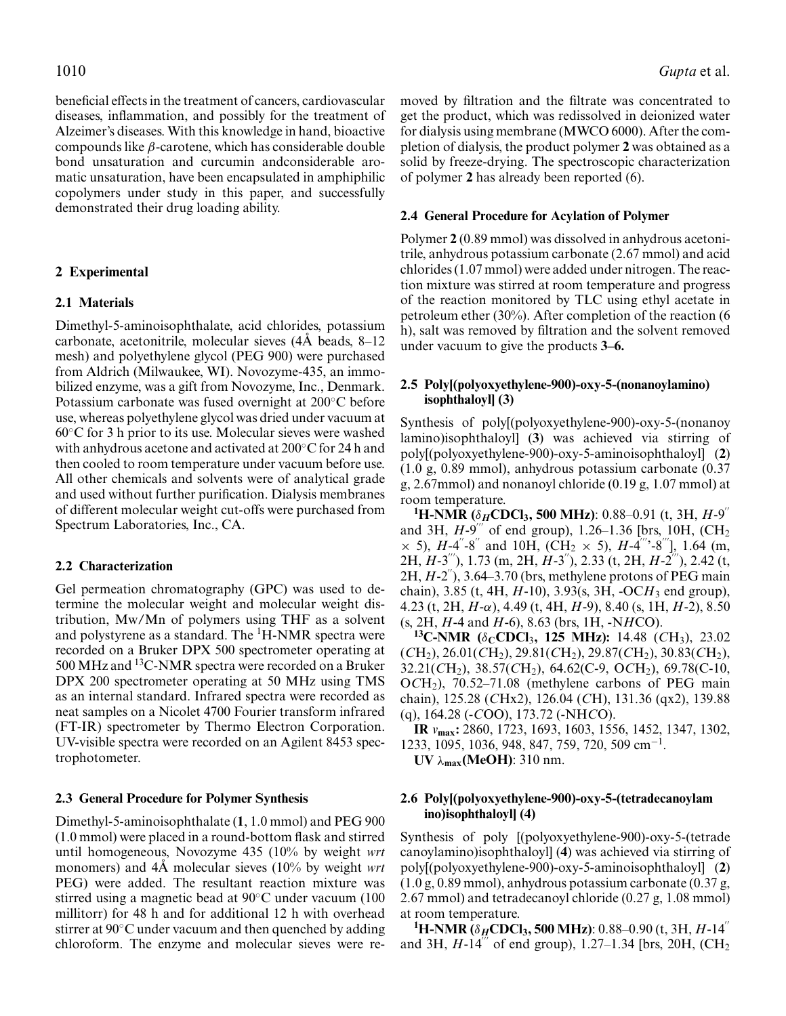beneficial effects in the treatment of cancers, cardiovascular diseases, inflammation, and possibly for the treatment of Alzeimer's diseases. With this knowledge in hand, bioactive compounds like  $\beta$ -carotene, which has considerable double bond unsaturation and curcumin andconsiderable aromatic unsaturation, have been encapsulated in amphiphilic copolymers under study in this paper, and successfully demonstrated their drug loading ability.

## **2 Experimental**

# **2.1 Materials**

Dimethyl-5-aminoisophthalate, acid chlorides, potassium carbonate, acetonitrile, molecular sieves  $(4\text{\AA}$  beads,  $8-12$ mesh) and polyethylene glycol (PEG 900) were purchased from Aldrich (Milwaukee, WI). Novozyme-435, an immobilized enzyme, was a gift from Novozyme, Inc., Denmark. Potassium carbonate was fused overnight at 200◦C before use, whereas polyethylene glycol was dried under vacuum at 60◦C for 3 h prior to its use. Molecular sieves were washed with anhydrous acetone and activated at 200◦C for 24 h and then cooled to room temperature under vacuum before use. All other chemicals and solvents were of analytical grade and used without further purification. Dialysis membranes of different molecular weight cut-offs were purchased from Spectrum Laboratories, Inc., CA.

#### **2.2 Characterization**

Gel permeation chromatography (GPC) was used to determine the molecular weight and molecular weight distribution, Mw/Mn of polymers using THF as a solvent and polystyrene as a standard. The <sup>1</sup>H-NMR spectra were recorded on a Bruker DPX 500 spectrometer operating at 500 MHz and 13C-NMR spectra were recorded on a Bruker DPX 200 spectrometer operating at 50 MHz using TMS as an internal standard. Infrared spectra were recorded as neat samples on a Nicolet 4700 Fourier transform infrared (FT-IR) spectrometer by Thermo Electron Corporation. UV-visible spectra were recorded on an Agilent 8453 spectrophotometer.

#### **2.3 General Procedure for Polymer Synthesis**

Dimethyl-5-aminoisophthalate (**1**, 1.0 mmol) and PEG 900 (1.0 mmol) were placed in a round-bottom flask and stirred until homogeneous, Novozyme 435 (10% by weight *wrt* monomers) and 4Å molecular sieves (10% by weight *wrt* PEG) were added. The resultant reaction mixture was stirred using a magnetic bead at 90◦C under vacuum (100 millitorr) for 48 h and for additional 12 h with overhead stirrer at 90◦C under vacuum and then quenched by adding chloroform. The enzyme and molecular sieves were removed by filtration and the filtrate was concentrated to get the product, which was redissolved in deionized water for dialysis using membrane (MWCO 6000). After the completion of dialysis, the product polymer **2** was obtained as a solid by freeze-drying. The spectroscopic characterization of polymer **2** has already been reported (6).

#### **2.4 General Procedure for Acylation of Polymer**

Polymer **2** (0.89 mmol) was dissolved in anhydrous acetonitrile, anhydrous potassium carbonate (2.67 mmol) and acid chlorides (1.07 mmol) were added under nitrogen. The reaction mixture was stirred at room temperature and progress of the reaction monitored by TLC using ethyl acetate in petroleum ether (30%). After completion of the reaction (6 h), salt was removed by filtration and the solvent removed under vacuum to give the products **3–6.**

## **2.5 Poly[(polyoxyethylene-900)-oxy-5-(nonanoylamino) isophthaloyl] (3)**

Synthesis of poly[(polyoxyethylene-900)-oxy-5-(nonanoy lamino)isophthaloyl] (**3**) was achieved via stirring of poly[(polyoxyethylene-900)-oxy-5-aminoisophthaloyl] (**2**) (1.0 g, 0.89 mmol), anhydrous potassium carbonate (0.37 g, 2.67mmol) and nonanoyl chloride (0.19 g, 1.07 mmol) at room temperature.

**1 H-NMR (**δ*H***CDCl3, 500 MHz)**: 0.88–0.91 (t, 3H, *H*-9 and 3H,  $H-9$ <sup>"</sup> of end group), 1.26–1.36 [brs, 10H, (CH<sub>2</sub>)  $\times$  5), *H*-4<sup>"</sup>-8<sup>"</sup> and 10H, (CH<sub>2</sub>  $\times$  5), *H*-4<sup>""</sup>-8<sup>"'</sup>], 1.64 (m, 2H, *H*-3<sup>"'</sup>), 1.73 (m, 2H, *H*-3<sup>"'</sup>), 2.33 (t, 2H, *H*-2<sup>"'</sup>), 2.42 (t, 2H, *H*-2), 3.64–3.70 (brs, methylene protons of PEG main chain), 3.85 (t, 4H, *H*-10), 3.93(s, 3H, -OC*H*<sup>3</sup> end group), 4.23 (t, 2H, *H*-α), 4.49 (t, 4H, *H*-9), 8.40 (s, 1H, *H*-2), 8.50 (s, 2H, *H*-4 and *H*-6), 8.63 (brs, 1H, -N*H*CO).

**13C-NMR (**δ**CCDCl**3**, 125 MHz):** 14.48 (*C*H3), 23.02  $(CH<sub>2</sub>), 26.01(CH<sub>2</sub>), 29.81(CH<sub>2</sub>), 29.87(CH<sub>2</sub>), 30.83(CH<sub>2</sub>),$ 32.21(*C*H2), 38.57(*C*H2), 64.62(C-9, O*C*H2), 69.78(C-10, O*C*H2), 70.52–71.08 (methylene carbons of PEG main chain), 125.28 (*C*Hx2), 126.04 (*C*H), 131.36 (qx2), 139.88 (q), 164.28 (-*C*OO), 173.72 (-NH*C*O).

**IR** *v***max:** 2860, 1723, 1693, 1603, 1556, 1452, 1347, 1302, 1233, 1095, 1036, 948, 847, 759, 720, 509 cm−<sup>1</sup> .

**UV** λ**max(MeOH)**: 310 nm.

## **2.6 Poly[(polyoxyethylene-900)-oxy-5-(tetradecanoylam ino)isophthaloyl] (4)**

Synthesis of poly [(polyoxyethylene-900)-oxy-5-(tetrade canoylamino)isophthaloyl] (**4**) was achieved via stirring of poly[(polyoxyethylene-900)-oxy-5-aminoisophthaloyl] (**2**) (1.0 g, 0.89 mmol), anhydrous potassium carbonate (0.37 g, 2.67 mmol) and tetradecanoyl chloride (0.27 g, 1.08 mmol) at room temperature.

**1 H-NMR (**δ*H***CDCl3, 500 MHz)**: 0.88–0.90 (t, 3H, *H*-14 and 3H,  $H-14$ <sup>"'</sup> of end group), 1.27–1.34 [brs, 20H, (CH<sub>2</sub>)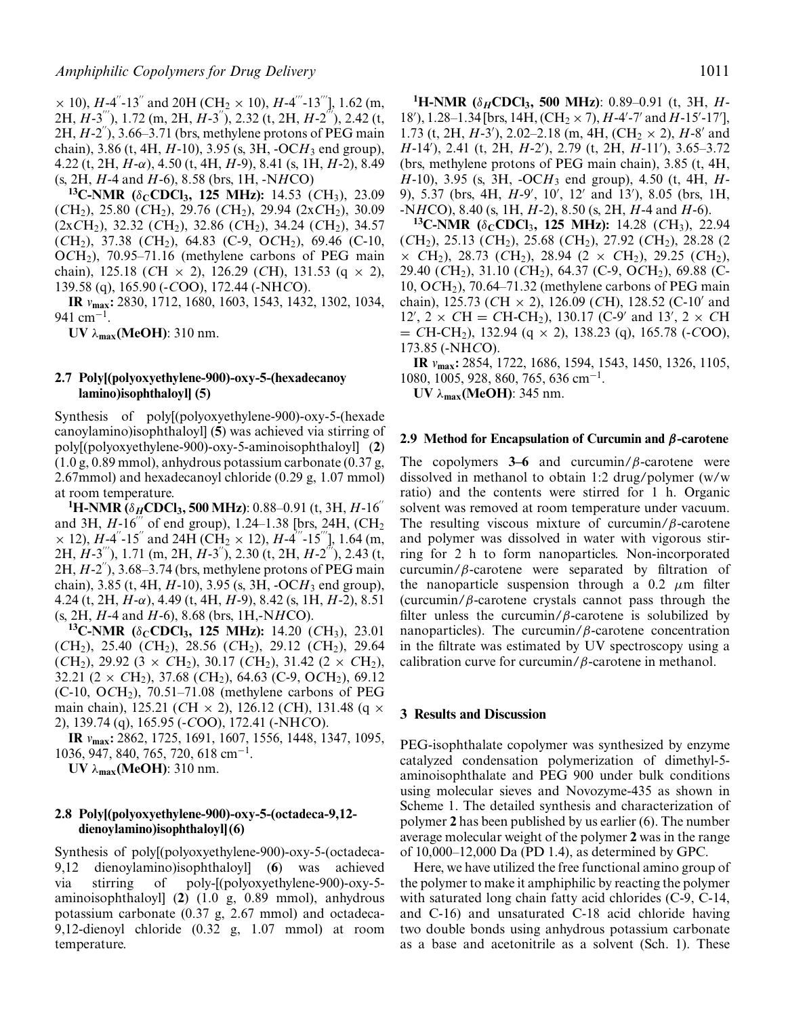$\times$  10), *H*-4<sup>"</sup>-13<sup>"</sup> and 20H (CH<sub>2</sub>  $\times$  10), *H*-4<sup>""</sup>-13<sup>""</sup>], 1.62 (m, 2H, *H*-3<sup>"'</sup>), 1.72 (m, 2H, *H*-3<sup>"</sup>), 2.32 (t, 2H, *H*-2<sup>"'</sup>), 2.42 (t,  $2H, H-2$ <sup>"</sup>), 3.66–3.71 (brs, methylene protons of PEG main chain), 3.86 (t, 4H, *H*-10), 3.95 (s, 3H, -OC*H*<sup>3</sup> end group), 4.22 (t, 2H, *H*-α), 4.50 (t, 4H, *H*-9), 8.41 (s, 1H, *H*-2), 8.49 (s, 2H, *H*-4 and *H*-6), 8.58 (brs, 1H, -N*H*CO)

**13C-NMR (**δ**CCDCl3, 125 MHz):** 14.53 (*C*H3), 23.09 (*C*H2), 25.80 (*C*H2), 29.76 (*C*H2), 29.94 (2x*C*H2), 30.09 (2x*C*H2), 32.32 (*C*H2), 32.86 (*C*H2), 34.24 (*C*H2), 34.57 (*C*H2), 37.38 (*C*H2), 64.83 (C-9, O*C*H2), 69.46 (C-10, O*C*H2), 70.95–71.16 (methylene carbons of PEG main chain), 125.18 (*C*H × 2), 126.29 (*C*H), 131.53 (q × 2), 139.58 (q), 165.90 (-*C*OO), 172.44 (-NH*C*O).

**IR** *v***max:** 2830, 1712, 1680, 1603, 1543, 1432, 1302, 1034, 941 cm<sup>-1</sup>.

**UV** λ**max(MeOH)**: 310 nm.

## **2.7 Poly[(polyoxyethylene-900)-oxy-5-(hexadecanoy lamino)isophthaloyl] (5)**

Synthesis of poly[(polyoxyethylene-900)-oxy-5-(hexade canoylamino)isophthaloyl] (**5**) was achieved via stirring of poly[(polyoxyethylene-900)-oxy-5-aminoisophthaloyl] (**2**) (1.0 g, 0.89 mmol), anhydrous potassium carbonate (0.37 g, 2.67mmol) and hexadecanoyl chloride (0.29 g, 1.07 mmol) at room temperature.

**1 H-NMR (**δ*H***CDCl3, 500 MHz)**: 0.88–0.91 (t, 3H, *H*-16 and 3H,  $H-16$ <sup>"</sup> of end group), 1.24–1.38 [brs, 24H, (CH<sub>2</sub>)  $\times$  12), *H*-4<sup>"</sup>-15<sup>"</sup> and 24H (CH<sub>2</sub>  $\times$  12), *H*-4<sup>""</sup>-15<sup>"'</sup>], 1.64 (m, 2H, *H*-3<sup>"'</sup>), 1.71 (m, 2H, *H*-3<sup>"'</sup>), 2.30 (t, 2H, *H*-2<sup>"'</sup>), 2.43 (t,  $2H, H-2$ <sup>"</sup>),  $3.68-3.74$  (brs, methylene protons of PEG main chain), 3.85 (t, 4H, *H*-10), 3.95 (s, 3H, -OC*H*<sup>3</sup> end group), 4.24 (t, 2H, *H*-α), 4.49 (t, 4H, *H*-9), 8.42 (s, 1H, *H*-2), 8.51 (s, 2H, *H*-4 and *H*-6), 8.68 (brs, 1H,-N*H*CO).

**13C-NMR (**δ**CCDCl3, 125 MHz):** 14.20 (*C*H3), 23.01 (*C*H2), 25.40 (*C*H2), 28.56 (*C*H2), 29.12 (*C*H2), 29.64  $(CH_2)$ , 29.92 (3 × *C*H<sub>2</sub>), 30.17 (*C*H<sub>2</sub>), 31.42 (2 × *C*H<sub>2</sub>), 32.21 (2 × *C*H2), 37.68 (*C*H2), 64.63 (C-9, O*C*H2), 69.12  $(C-10, OCH<sub>2</sub>), 70.51-71.08$  (methylene carbons of PEG main chain), 125.21 (*C*H × 2), 126.12 (*C*H), 131.48 (q × 2), 139.74 (q), 165.95 (-*C*OO), 172.41 (-NH*C*O).

**IR** *v***max:** 2862, 1725, 1691, 1607, 1556, 1448, 1347, 1095, 1036, 947, 840, 765, 720, 618 cm−<sup>1</sup> .

**UV** λ**max(MeOH)**: 310 nm.

#### **2.8 Poly[(polyoxyethylene-900)-oxy-5-(octadeca-9,12 dienoylamino)isophthaloyl] (6)**

Synthesis of poly[(polyoxyethylene-900)-oxy-5-(octadeca-9,12 dienoylamino)isophthaloyl] (**6**) was achieved via stirring of poly-[(polyoxyethylene-900)-oxy-5 aminoisophthaloyl] (**2**) (1.0 g, 0.89 mmol), anhydrous potassium carbonate (0.37 g, 2.67 mmol) and octadeca-9,12-dienoyl chloride (0.32 g, 1.07 mmol) at room temperature.

**1 H-NMR (**δ*H***CDCl3, 500 MHz)**: 0.89–0.91 (t, 3H, *H*-18'), 1.28–1.34 [brs, 14H, (CH<sub>2</sub> × 7), *H*-4'-7' and *H*-15'-17'], 1.73 (t, 2H,  $H$ -3'), 2.02–2.18 (m, 4H,  $(CH_2 \times 2)$ ,  $H$ -8' and *H*-14 ), 2.41 (t, 2H, *H*-2 ), 2.79 (t, 2H, *H*-11 ), 3.65–3.72 (brs, methylene protons of PEG main chain), 3.85 (t, 4H, *H*-10), 3.95 (s, 3H, -OC*H*<sup>3</sup> end group), 4.50 (t, 4H, *H*-9), 5.37 (brs, 4H, *H*-9', 10', 12' and 13'), 8.05 (brs, 1H, -N*H*CO), 8.40 (s, 1H, *H*-2), 8.50 (s, 2H, *H*-4 and *H*-6).

**13C-NMR (**δ**CCDCl**3**, 125 MHz):** 14.28 (*C*H3), 22.94 (*C*H2), 25.13 (*C*H2), 25.68 (*C*H2), 27.92 (*C*H2), 28.28 (2 × *C*H2), 28.73 (*C*H2), 28.94 (2 × *C*H2), 29.25 (*C*H2), 29.40 (*C*H2), 31.10 (*C*H2), 64.37 (C-9, O*C*H2), 69.88 (C-10, O*C*H2), 70.64–71.32 (methylene carbons of PEG main chain), 125.73 (*C*H × 2), 126.09 (*C*H), 128.52 (C-10 and  $12', 2 \times CH = CH \cdot CH_2$ ), 130.17 (C-9' and 13', 2  $\times$  CH = *C*H-CH2), 132.94 (q × 2), 138.23 (q), 165.78 (-*C*OO), 173.85 (-NH*C*O).

**IR** *v***max:** 2854, 1722, 1686, 1594, 1543, 1450, 1326, 1105, 1080, 1005, 928, 860, 765, 636 cm−<sup>1</sup> .

**UV** λ**max(MeOH)**: 345 nm.

#### **2.9 Method for Encapsulation of Curcumin and** *β***-carotene**

The copolymers **3–6** and curcumin/β-carotene were dissolved in methanol to obtain 1:2 drug/polymer (w/w ratio) and the contents were stirred for 1 h. Organic solvent was removed at room temperature under vacuum. The resulting viscous mixture of curcumin/ $\beta$ -carotene and polymer was dissolved in water with vigorous stirring for 2 h to form nanoparticles. Non-incorporated curcumin/ $\beta$ -carotene were separated by filtration of the nanoparticle suspension through a 0.2  $\mu$ m filter (curcumin/ $\beta$ -carotene crystals cannot pass through the filter unless the curcumin/ $\beta$ -carotene is solubilized by nanoparticles). The curcumin/ $\beta$ -carotene concentration in the filtrate was estimated by UV spectroscopy using a calibration curve for curcumin/ $\beta$ -carotene in methanol.

#### **3 Results and Discussion**

PEG-isophthalate copolymer was synthesized by enzyme catalyzed condensation polymerization of dimethyl-5 aminoisophthalate and PEG 900 under bulk conditions using molecular sieves and Novozyme-435 as shown in Scheme 1. The detailed synthesis and characterization of polymer **2** has been published by us earlier (6). The number average molecular weight of the polymer **2** was in the range of 10,000–12,000 Da (PD 1.4), as determined by GPC.

Here, we have utilized the free functional amino group of the polymer to make it amphiphilic by reacting the polymer with saturated long chain fatty acid chlorides (C-9, C-14, and C-16) and unsaturated C-18 acid chloride having two double bonds using anhydrous potassium carbonate as a base and acetonitrile as a solvent (Sch. 1). These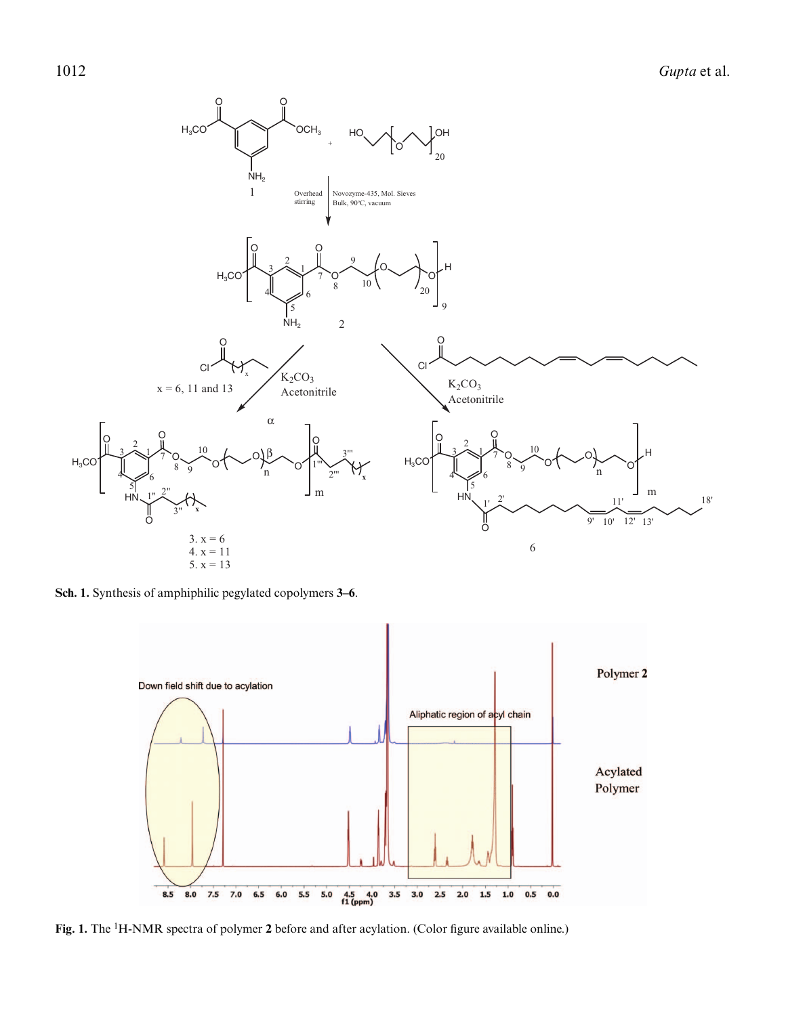

**Sch. 1.** Synthesis of amphiphilic pegylated copolymers **3–6**.



Fig. 1. The <sup>1</sup>H-NMR spectra of polymer 2 before and after acylation. (Color figure available online.)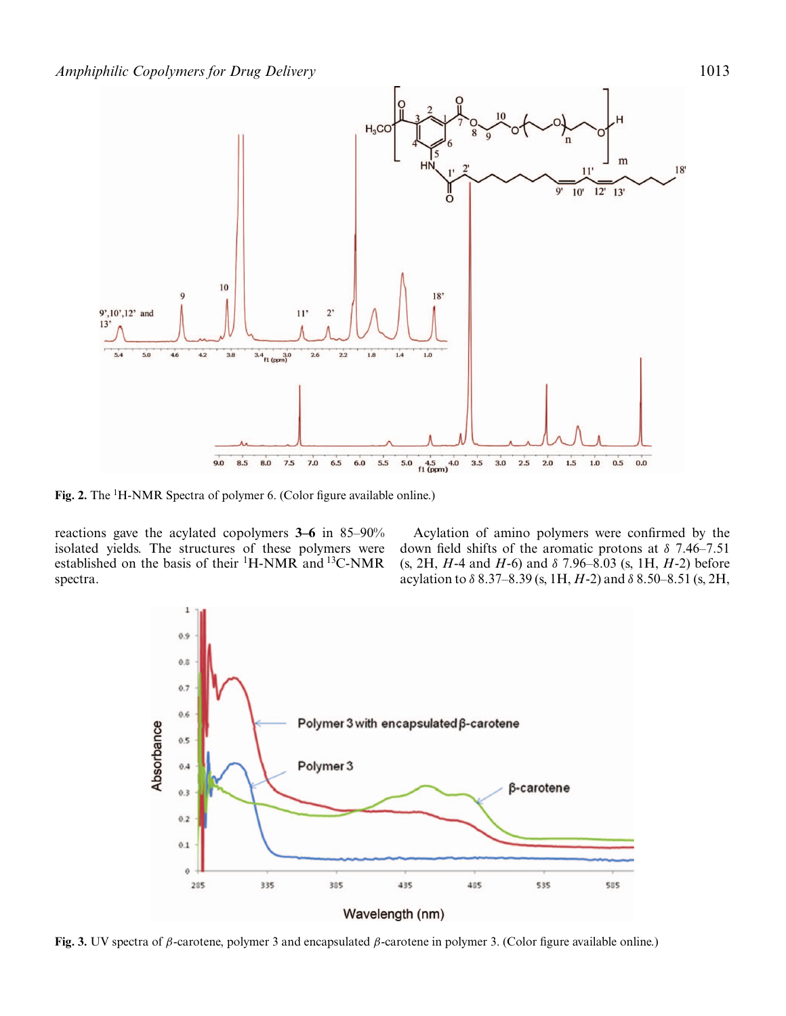

Fig. 2. The <sup>1</sup>H-NMR Spectra of polymer 6. (Color figure available online.)

reactions gave the acylated copolymers **3–6** in 85–90% isolated yields. The structures of these polymers were established on the basis of their  ${}^{1}$ H-NMR and  ${}^{13}$ C-NMR spectra.

Acylation of amino polymers were confirmed by the down field shifts of the aromatic protons at  $\delta$  7.46–7.51 (s, 2H, *H*-4 and *H*-6) and δ 7.96–8.03 (s, 1H, *H*-2) before acylation to δ 8.37–8.39 (s, 1H, *H*-2) and δ 8.50–8.51 (s, 2H,



**Fig. 3.** UV spectra of β-carotene, polymer 3 and encapsulated β-carotene in polymer 3. (Color figure available online.)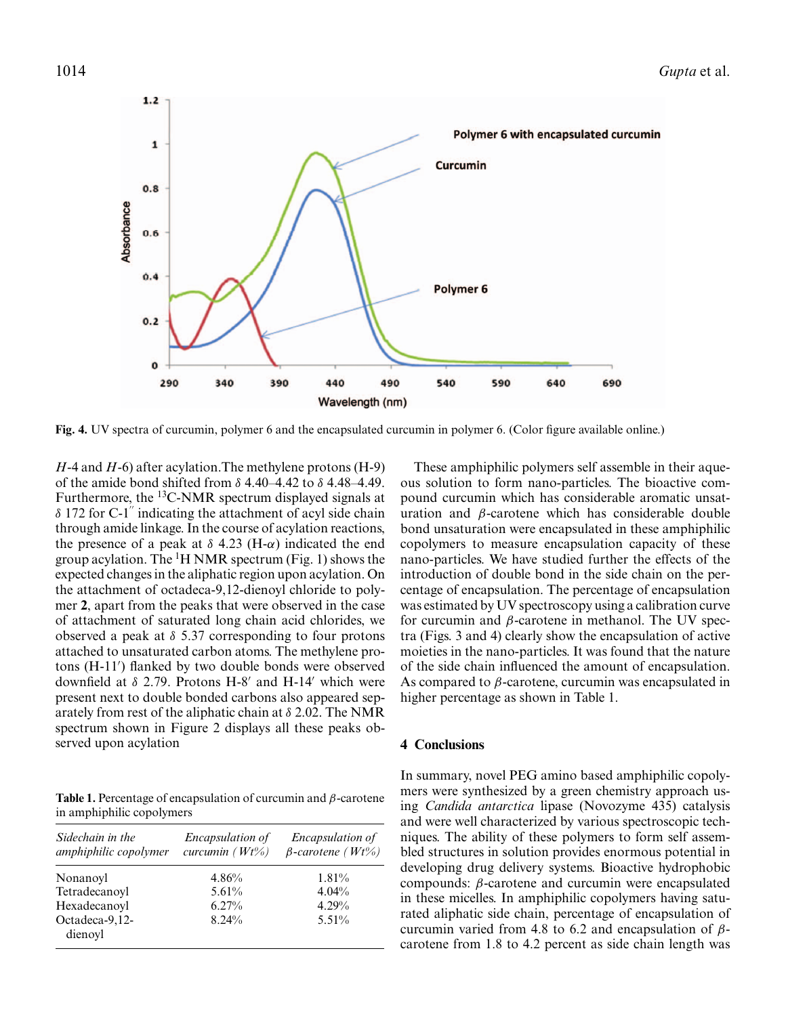

**Fig. 4.** UV spectra of curcumin, polymer 6 and the encapsulated curcumin in polymer 6. (Color figure available online.)

*H*-4 and *H*-6) after acylation.The methylene protons (H-9) of the amide bond shifted from  $\delta$  4.40–4.42 to  $\delta$  4.48–4.49. Furthermore, the 13C-NMR spectrum displayed signals at  $\delta$  172 for C-1" indicating the attachment of acyl side chain through amide linkage. In the course of acylation reactions, the presence of a peak at  $\delta$  4.23 (H- $\alpha$ ) indicated the end group acylation. The <sup>1</sup>H NMR spectrum (Fig. 1) shows the expected changes in the aliphatic region upon acylation. On the attachment of octadeca-9,12-dienoyl chloride to polymer **2**, apart from the peaks that were observed in the case of attachment of saturated long chain acid chlorides, we observed a peak at  $\delta$  5.37 corresponding to four protons attached to unsaturated carbon atoms. The methylene protons (H-11 ) flanked by two double bonds were observed downfield at  $\delta$  2.79. Protons H-8' and H-14' which were present next to double bonded carbons also appeared separately from rest of the aliphatic chain at  $\delta$  2.02. The NMR spectrum shown in Figure 2 displays all these peaks observed upon acylation

**Table 1.** Percentage of encapsulation of curcumin and β-carotene in amphiphilic copolymers

| Sidechain in the<br>amphiphilic copolymer | <i>Encapsulation of</i><br>curcumin $(Wt\%)$ | Encapsulation of<br>$\beta$ -carotene (Wt%) |
|-------------------------------------------|----------------------------------------------|---------------------------------------------|
| Nonanoyl                                  | 4.86%                                        | 1.81%                                       |
| Tetradecanoyl                             | 5.61%                                        | 4.04%                                       |
| Hexadecanoyl                              | 6.27%                                        | 4.29%                                       |
| Octadeca-9,12-<br>dienoyl                 | 8.24%                                        | 5.51%                                       |

These amphiphilic polymers self assemble in their aqueous solution to form nano-particles. The bioactive compound curcumin which has considerable aromatic unsaturation and  $\beta$ -carotene which has considerable double bond unsaturation were encapsulated in these amphiphilic copolymers to measure encapsulation capacity of these nano-particles. We have studied further the effects of the introduction of double bond in the side chain on the percentage of encapsulation. The percentage of encapsulation was estimated by UV spectroscopy using a calibration curve for curcumin and  $\beta$ -carotene in methanol. The UV spectra (Figs. 3 and 4) clearly show the encapsulation of active moieties in the nano-particles. It was found that the nature of the side chain influenced the amount of encapsulation. As compared to  $\beta$ -carotene, curcumin was encapsulated in higher percentage as shown in Table 1.

#### **4 Conclusions**

In summary, novel PEG amino based amphiphilic copolymers were synthesized by a green chemistry approach using *Candida antarctica* lipase (Novozyme 435) catalysis and were well characterized by various spectroscopic techniques. The ability of these polymers to form self assembled structures in solution provides enormous potential in developing drug delivery systems. Bioactive hydrophobic compounds: β-carotene and curcumin were encapsulated in these micelles. In amphiphilic copolymers having saturated aliphatic side chain, percentage of encapsulation of curcumin varied from 4.8 to 6.2 and encapsulation of  $\beta$ carotene from 1.8 to 4.2 percent as side chain length was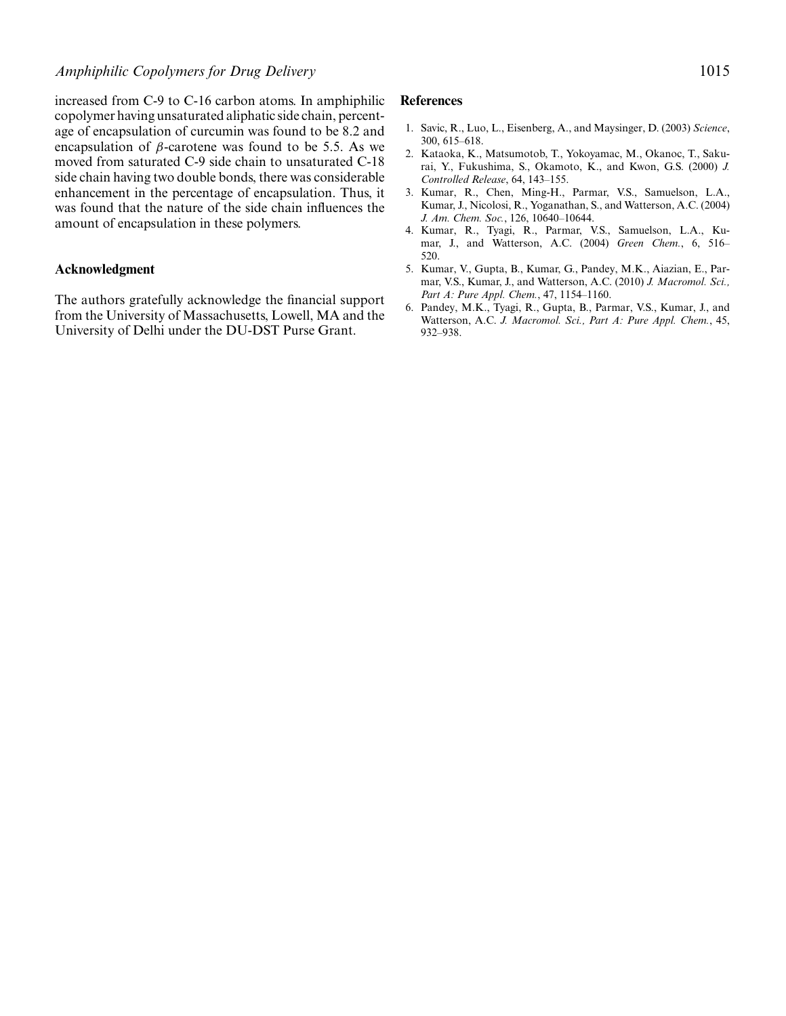increased from C-9 to C-16 carbon atoms. In amphiphilic copolymer having unsaturated aliphatic side chain, percentage of encapsulation of curcumin was found to be 8.2 and encapsulation of  $\beta$ -carotene was found to be 5.5. As we moved from saturated C-9 side chain to unsaturated C-18 side chain having two double bonds, there was considerable enhancement in the percentage of encapsulation. Thus, it was found that the nature of the side chain influences the amount of encapsulation in these polymers.

# **Acknowledgment**

The authors gratefully acknowledge the financial support from the University of Massachusetts, Lowell, MA and the University of Delhi under the DU-DST Purse Grant.

#### **References**

- 1. Savic, R., Luo, L., Eisenberg, A., and Maysinger, D. (2003) *Science*, 300, 615–618.
- 2. Kataoka, K., Matsumotob, T., Yokoyamac, M., Okanoc, T., Sakurai, Y., Fukushima, S., Okamoto, K., and Kwon, G.S. (2000) *J. Controlled Release*, 64, 143–155.
- 3. Kumar, R., Chen, Ming-H., Parmar, V.S., Samuelson, L.A., Kumar, J., Nicolosi, R., Yoganathan, S., and Watterson, A.C. (2004) *J. Am. Chem. Soc.*, 126, 10640–10644.
- 4. Kumar, R., Tyagi, R., Parmar, V.S., Samuelson, L.A., Kumar, J., and Watterson, A.C. (2004) *Green Chem.*, 6, 516– 520.
- 5. Kumar, V., Gupta, B., Kumar, G., Pandey, M.K., Aiazian, E., Parmar, V.S., Kumar, J., and Watterson, A.C. (2010) *J. Macromol. Sci., Part A: Pure Appl. Chem.*, 47, 1154–1160.
- 6. Pandey, M.K., Tyagi, R., Gupta, B., Parmar, V.S., Kumar, J., and Watterson, A.C. *J. Macromol. Sci., Part A: Pure Appl. Chem.*, 45, 932–938.